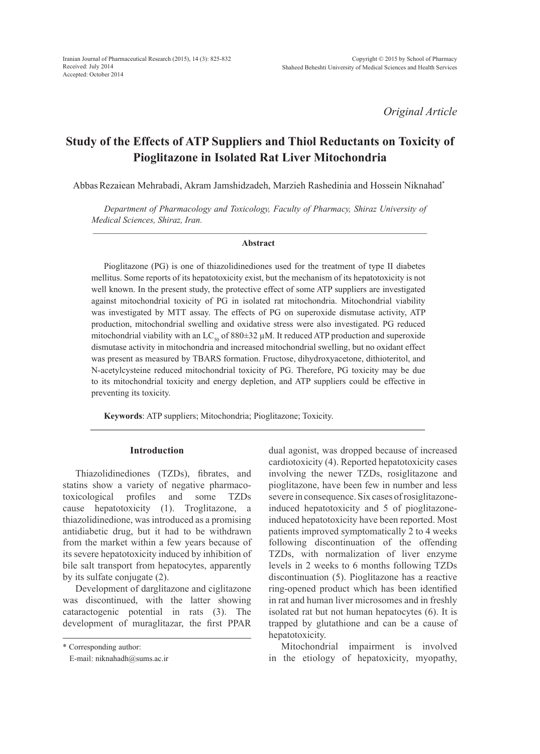*Original Article*

# **Study of the Effects of ATP Suppliers and Thiol Reductants on Toxicity of Pioglitazone in Isolated Rat Liver Mitochondria**

AbbasRezaiean Mehrabadi, Akram Jamshidzadeh, Marzieh Rashedinia and Hossein Niknahad\*

*Department of Pharmacology and Toxicology, Faculty of Pharmacy, Shiraz University of Medical Sciences, Shiraz, Iran.*

### **Abstract**

Pioglitazone (PG) is one of thiazolidinediones used for the treatment of type II diabetes mellitus. Some reports of its hepatotoxicity exist, but the mechanism of its hepatotoxicity is not well known. In the present study, the protective effect of some ATP suppliers are investigated against mitochondrial toxicity of PG in isolated rat mitochondria. Mitochondrial viability was investigated by MTT assay. The effects of PG on superoxide dismutase activity, ATP production, mitochondrial swelling and oxidative stress were also investigated. PG reduced mitochondrial viability with an  $LC_{50}$  of 880 $\pm$ 32 µM. It reduced ATP production and superoxide dismutase activity in mitochondria and increased mitochondrial swelling, but no oxidant effect was present as measured by TBARS formation. Fructose, dihydroxyacetone, dithioteritol, and N-acetylcysteine reduced mitochondrial toxicity of PG. Therefore, PG toxicity may be due to its mitochondrial toxicity and energy depletion, and ATP suppliers could be effective in preventing its toxicity.

**Keywords**: ATP suppliers; Mitochondria; Pioglitazone; Toxicity.

# **Introduction**

Thiazolidinediones (TZDs), fibrates, and statins show a variety of negative pharmacotoxicological profiles and some TZDs cause hepatotoxicity (1). Troglitazone, a thiazolidinedione, was introduced as a promising antidiabetic drug, but it had to be withdrawn from the market within a few years because of its severe hepatotoxicity induced by inhibition of bile salt transport from hepatocytes, apparently by its sulfate conjugate (2).

Development of darglitazone and ciglitazone was discontinued, with the latter showing cataractogenic potential in rats (3). The development of muraglitazar, the first PPAR dual agonist, was dropped because of increased cardiotoxicity (4). Reported hepatotoxicity cases involving the newer TZDs, rosiglitazone and pioglitazone, have been few in number and less severe in consequence. Six cases of rosiglitazoneinduced hepatotoxicity and 5 of pioglitazoneinduced hepatotoxicity have been reported. Most patients improved symptomatically 2 to 4 weeks following discontinuation of the offending TZDs, with normalization of liver enzyme levels in 2 weeks to 6 months following TZDs discontinuation (5). Pioglitazone has a reactive ring-opened product which has been identified in rat and human liver microsomes and in freshly isolated rat but not human hepatocytes (6). It is trapped by glutathione and can be a cause of hepatotoxicity.

Mitochondrial impairment is involved in the etiology of hepatoxicity, myopathy,

<sup>\*</sup> Corresponding author:

E-mail: niknahadh@sums.ac.ir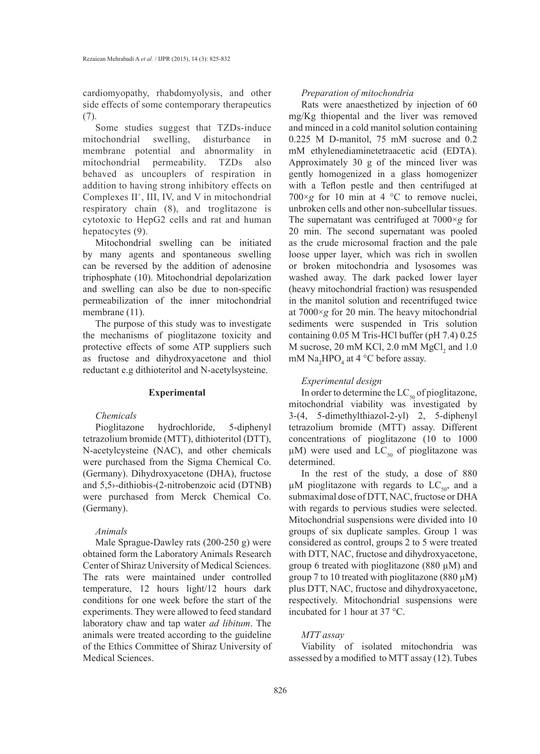cardiomyopathy, rhabdomyolysis, and other side effects of some contemporary therapeutics (7).

Some studies suggest that TZDs-induce mitochondrial swelling, disturbance in membrane potential and abnormality in mitochondrial permeability. TZDs also behaved as uncouplers of respiration in addition to having strong inhibitory effects on Complexes II<sup>+</sup>, III, IV, and V in mitochondrial respiratory chain (8), and troglitazone is cytotoxic to HepG2 cells and rat and human hepatocytes (9).

Mitochondrial swelling can be initiated by many agents and spontaneous swelling can be reversed by the addition of adenosine triphosphate (10). Mitochondrial depolarization and swelling can also be due to non-specific permeabilization of the inner mitochondrial membrane  $(11)$ .

The purpose of this study was to investigate the mechanisms of pioglitazone toxicity and protective effects of some ATP suppliers such as fructose and dihydroxyacetone and thiol reductant e.g dithioteritol and N-acetylsysteine.

### **Experimental**

# *Chemicals*

Pioglitazone hydrochloride, 5-diphenyl tetrazolium bromide (MTT), dithioteritol (DTT), N-acetylcysteine (NAC), and other chemicals were purchased from the Sigma Chemical Co. (Germany). Dihydroxyacetone (DHA), fructose and 5,5›-dithiobis-(2-nitrobenzoic acid (DTNB) were purchased from Merck Chemical Co. (Germany).

### *Animals*

Male Sprague-Dawley rats (200-250 g) were obtained form the Laboratory Animals Research Center of Shiraz University of Medical Sciences. The rats were maintained under controlled temperature, 12 hours light/12 hours dark conditions for one week before the start of the experiments. They were allowed to feed standard laboratory chaw and tap water *ad libitum*. The animals were treated according to the guideline of the Ethics Committee of Shiraz University of Medical Sciences.

# *Preparation of mitochondria*

Rats were anaesthetized by injection of 60 mg/Kg thiopental and the liver was removed and minced in a cold manitol solution containing 0.225 M D-manitol, 75 mM sucrose and 0.2 mM ethylenediaminetetraacetic acid (EDTA). Approximately 30 g of the minced liver was gently homogenized in a glass homogenizer with a Teflon pestle and then centrifuged at  $700 \times g$  for 10 min at 4 °C to remove nuclei, unbroken cells and other non-subcellular tissues. The supernatant was centrifuged at 7000×*g* for 20 min. The second supernatant was pooled as the crude microsomal fraction and the pale loose upper layer, which was rich in swollen or broken mitochondria and lysosomes was washed away. The dark packed lower layer (heavy mitochondrial fraction) was resuspended in the manitol solution and recentrifuged twice at 7000×*g* for 20 min. The heavy mitochondrial sediments were suspended in Tris solution containing 0.05 M Tris-HCl buffer (pH 7.4) 0.25 M sucrose,  $20 \text{ mM KCl}$ ,  $2.0 \text{ mM MgCl}_2$  and  $1.0 \text{ m}$ mM  $\text{Na}_2\text{HPO}_4$  at 4 °C before assay.

### *Experimental design*

In order to determine the  $LC_{50}$  of pioglitazone, mitochondrial viability was investigated by 3-(4, 5-dimethylthiazol-2-yl) 2, 5-diphenyl tetrazolium bromide (MTT) assay. Different concentrations of pioglitazone (10 to 1000  $\mu$ M) were used and LC<sub>50</sub> of pioglitazone was determined.

In the rest of the study, a dose of 880  $\mu$ M pioglitazone with regards to LC<sub>50</sub>, and a submaximal dose of DTT, NAC, fructose or DHA with regards to pervious studies were selected. Mitochondrial suspensions were divided into 10 groups of six duplicate samples. Group 1 was considered as control, groups 2 to 5 were treated with DTT, NAC, fructose and dihydroxyacetone, group 6 treated with pioglitazone (880 µM) and group 7 to 10 treated with pioglitazone (880  $\mu$ M) plus DTT, NAC, fructose and dihydroxyacetone, respectively. Mitochondrial suspensions were incubated for 1 hour at 37 °C.

# *MTT assay*

Viability of isolated mitochondria was assessed by a modified to MTT assay (12). Tubes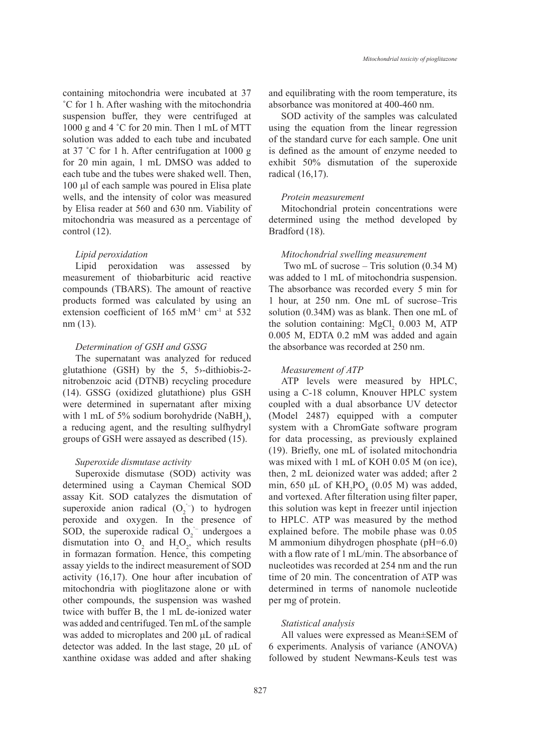containing mitochondria were incubated at 37 ˚C for 1 h. After washing with the mitochondria suspension buffer, they were centrifuged at 1000 g and 4 ˚C for 20 min. Then 1 mL of MTT solution was added to each tube and incubated at 37 ˚C for 1 h. After centrifugation at 1000 g for 20 min again, 1 mL DMSO was added to each tube and the tubes were shaked well. Then, 100 µl of each sample was poured in Elisa plate wells, and the intensity of color was measured by Elisa reader at 560 and 630 nm. Viability of mitochondria was measured as a percentage of control (12).

### *Lipid peroxidation*

Lipid peroxidation was assessed by measurement of thiobarbituric acid reactive compounds (TBARS). The amount of reactive products formed was calculated by using an extension coefficient of 165 mM<sup>-1</sup> cm<sup>-1</sup> at 532 nm (13).

# *Determination of GSH and GSSG*

The supernatant was analyzed for reduced glutathione (GSH) by the 5, 5›-dithiobis-2 nitrobenzoic acid (DTNB) recycling procedure (14). GSSG (oxidized glutathione) plus GSH were determined in supernatant after mixing with 1 mL of 5% sodium borohydride (NaBH<sub>4</sub>), a reducing agent, and the resulting sulfhydryl groups of GSH were assayed as described (15).

#### *Superoxide dismutase activity*

Superoxide dismutase (SOD) activity was determined using a Cayman Chemical SOD assay Kit. SOD catalyzes the dismutation of superoxide anion radical  $(O_2^{\text{-}})$  to hydrogen peroxide and oxygen. In the presence of SOD, the superoxide radical  $O_2^{\text{-}}$  undergoes a dismutation into  $O_2$  and  $H_2O_2$ , which results in formazan formation. Hence, this competing assay yields to the indirect measurement of SOD activity (16,17). One hour after incubation of mitochondria with pioglitazone alone or with other compounds, the suspension was washed twice with buffer B, the 1 mL de-ionized water was added and centrifuged. Ten mL of the sample was added to microplates and 200 µL of radical detector was added. In the last stage, 20 µL of xanthine oxidase was added and after shaking

and equilibrating with the room temperature, its absorbance was monitored at 400-460 nm.

SOD activity of the samples was calculated using the equation from the linear regression of the standard curve for each sample. One unit is defined as the amount of enzyme needed to exhibit 50% dismutation of the superoxide radical (16,17).

#### *Protein measurement*

Mitochondrial protein concentrations were determined using the method developed by Bradford (18).

#### *Mitochondrial swelling measurement*

 Two mL of sucrose – Tris solution (0.34 M) was added to 1 mL of mitochondria suspension. The absorbance was recorded every 5 min for 1 hour, at 250 nm. One mL of sucrose–Tris solution (0.34M) was as blank. Then one mL of the solution containing:  $MgCl<sub>2</sub>$  0.003 M, ATP 0.005 M, EDTA 0.2 mM was added and again the absorbance was recorded at 250 nm.

#### *Measurement of ATP*

ATP levels were measured by HPLC, using a C-18 column, Knouver HPLC system coupled with a dual absorbance UV detector (Model 2487) equipped with a computer system with a ChromGate software program for data processing, as previously explained (19). Briefly, one mL of isolated mitochondria was mixed with 1 mL of KOH 0.05 M (on ice), then, 2 mL deionized water was added; after 2 min, 650  $\mu$ L of  $KH_2PO_4$  (0.05 M) was added, and vortexed. After filteration using filter paper, this solution was kept in freezer until injection to HPLC. ATP was measured by the method explained before. The mobile phase was 0.05 M ammonium dihydrogen phosphate (pH=6.0) with a flow rate of 1 mL/min. The absorbance of nucleotides was recorded at 254 nm and the run time of 20 min. The concentration of ATP was determined in terms of nanomole nucleotide per mg of protein.

# *Statistical analysis*

All values were expressed as Mean±SEM of 6 experiments. Analysis of variance (ANOVA) followed by student Newmans-Keuls test was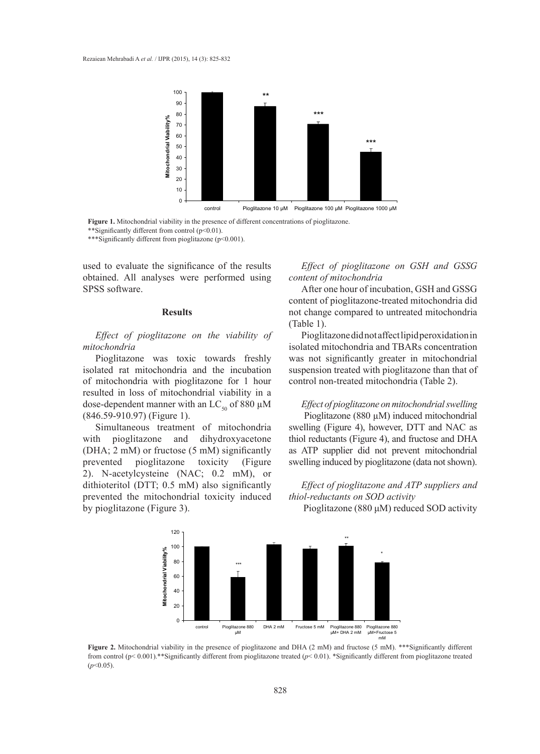

**Figure 1.** Mitochondrial viability in the presence of different concentrations of pioglitazone. \*\*Significantly different from control (p<0.01).

\*\*\*Significantly different from pioglitazone (p<0.001).

used to evaluate the significance of the results obtained. All analyses were performed using SPSS software.

### **Results**

*Effect of pioglitazone on the viability of mitochondria*

Pioglitazone was toxic towards freshly isolated rat mitochondria and the incubation of mitochondria with pioglitazone for 1 hour resulted in loss of mitochondrial viability in a dose-dependent manner with an LC<sub>50</sub> of 880  $\mu$ M (846.59-910.97) (Figure 1).

Simultaneous treatment of mitochondria with pioglitazone and dihydroxyacetone (DHA; 2 mM) or fructose (5 mM) significantly prevented pioglitazone toxicity (Figure 2). N-acetylcysteine (NAC; 0.2 mM), or dithioteritol (DTT; 0.5 mM) also significantly prevented the mitochondrial toxicity induced by pioglitazone (Figure 3).

*Effect of pioglitazone on GSH and GSSG content of mitochondria*

After one hour of incubation, GSH and GSSG content of pioglitazone-treated mitochondria did not change compared to untreated mitochondria (Table 1).

Pioglitazone did not affect lipid peroxidation in isolated mitochondria and TBARs concentration was not significantly greater in mitochondrial suspension treated with pioglitazone than that of control non-treated mitochondria (Table 2).

*Effect of pioglitazone on mitochondrial swelling* Pioglitazone (880 µM) induced mitochondrial swelling (Figure 4), however, DTT and NAC as thiol reductants (Figure 4), and fructose and DHA as ATP supplier did not prevent mitochondrial swelling induced by pioglitazone (data not shown).

# *Effect of pioglitazone and ATP suppliers and thiol-reductants on SOD activity*

Pioglitazone (880 μM) reduced SOD activity



**Figure 2.** Mitochondrial viability in the presence of pioglitazone and DHA (2 mM) and fructose (5 mM). \*\*\*Significantly different from control (p< 0.001).\*\*Significantly different from pioglitazone treated (*p*< 0.01). \*Significantly different from pioglitazone treated (*p*<0.05).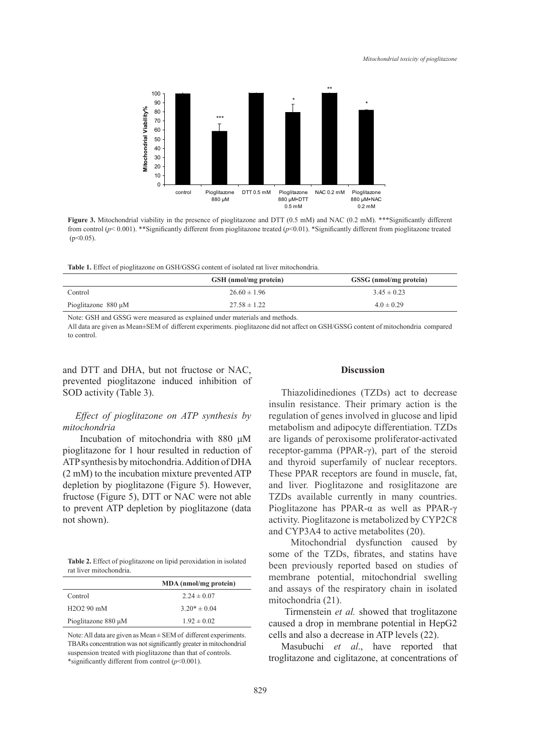

**Figure 3.** Mitochondrial viability in the presence of pioglitazone and DTT (0.5 mM) and NAC (0.2 mM). \*\*\*Significantly different from control (*p*< 0.001). \*\*Significantly different from pioglitazone treated (*p*<0.01). \*Significantly different from pioglitazone treated  $(p<0.05)$ .

**Table 1.** Effect of pioglitazone on GSH/GSSG content of isolated rat liver mitochondria.

|                          | GSH (nmol/mg protein) | GSSG (nmol/mg protein) |
|--------------------------|-----------------------|------------------------|
| Control                  | $26.60 \pm 1.96$      | $3.45 \pm 0.23$        |
| Pioglitazone $880 \mu M$ | $27.58 \pm 1.22$      | $4.0 \pm 0.29$         |

Note: GSH and GSSG were measured as explained under materials and methods.

All data are given as Mean±SEM of different experiments. pioglitazone did not affect on GSH/GSSG content of mitochondria compared to control.

and DTT and DHA, but not fructose or NAC, prevented pioglitazone induced inhibition of SOD activity (Table 3).

# *Effect of pioglitazone on ATP synthesis by mitochondria*

 Incubation of mitochondria with 880 μM pioglitazone for 1 hour resulted in reduction of ATP synthesis by mitochondria. Addition of DHA (2 mM) to the incubation mixture prevented ATP depletion by pioglitazone (Figure 5). However, fructose (Figure 5), DTT or NAC were not able to prevent ATP depletion by pioglitazone (data not shown).

|                         | Table 2. Effect of pioglitazone on lipid peroxidation in isolated |  |  |
|-------------------------|-------------------------------------------------------------------|--|--|
| rat liver mitochondria. |                                                                   |  |  |

|                     | MDA (nmol/mg protein) |
|---------------------|-----------------------|
| Control             | $2.24 \pm 0.07$       |
| $H2O290$ mM         | $3.20* \pm 0.04$      |
| Pioglitazone 880 µM | $1.92 \pm 0.02$       |

Note: All data are given as Mean ± SEM of different experiments. TBARs concentration was not significantly greater in mitochondrial suspension treated with pioglitazone than that of controls. \*significantly different from control (*p*<0.001).

### **Discussion**

Thiazolidinediones (TZDs) act to decrease insulin resistance. Their primary action is the regulation of genes involved in glucose and lipid metabolism and adipocyte differentiation. TZDs are ligands of peroxisome proliferator-activated receptor-gamma (PPAR-γ), part of the steroid and thyroid superfamily of nuclear receptors. These PPAR receptors are found in muscle, fat, and liver. Pioglitazone and rosiglitazone are TZDs available currently in many countries. Pioglitazone has PPAR-α as well as PPAR-γ activity. Pioglitazone is metabolized by CYP2C8 and CYP3A4 to active metabolites (20).

 Mitochondrial dysfunction caused by some of the TZDs, fibrates, and statins have been previously reported based on studies of membrane potential, mitochondrial swelling and assays of the respiratory chain in isolated mitochondria (21).

 Tirmenstein *et al.* showed that troglitazone caused a drop in membrane potential in HepG2 cells and also a decrease in ATP levels (22).

Masubuchi *et al*., have reported that troglitazone and ciglitazone, at concentrations of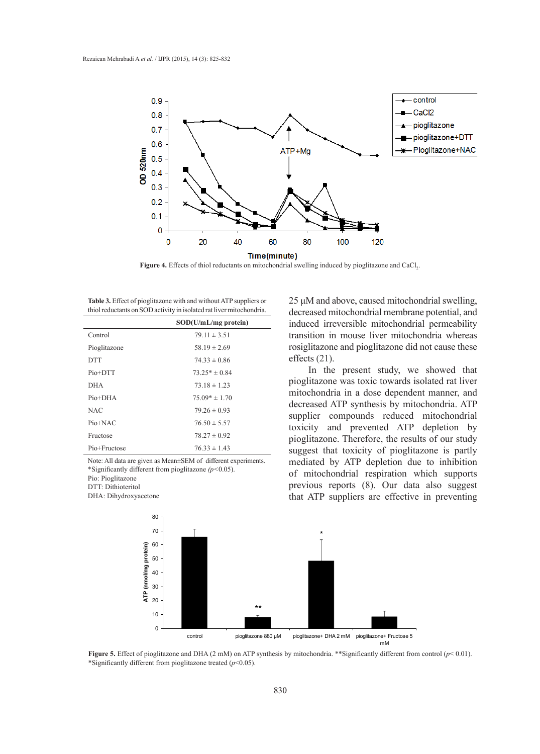

**Figure 4.** Effects of thiol reductants on mitochondrial swelling induced by pioglitazone and  $CaCl<sub>2</sub>$ .

**Table 3.** Effect of pioglitazone with and without ATP suppliers or thiol reductants on SOD activity in isolated rat liver mitochondria.

|              | SOD(U/mL/mg protein) |
|--------------|----------------------|
| Control      | $79.11 \pm 3.51$     |
| Pioglitazone | $58.19 \pm 2.69$     |
| <b>DTT</b>   | $74.33 \pm 0.86$     |
| Pio+DTT      | $73.25* \pm 0.84$    |
| <b>DHA</b>   | $73.18 \pm 1.23$     |
| $Pio+DHA$    | $75.09* \pm 1.70$    |
| <b>NAC</b>   | $79.26 \pm 0.93$     |
| Pio+NAC      | $76.50 \pm 5.57$     |
| Fructose     | $78.27 \pm 0.92$     |
| Pio+Fructose | $76.33 \pm 1.43$     |

Note: All data are given as Mean±SEM of different experiments. \*Significantly different from pioglitazone *(p<*0.05).

Pio: Pioglitazone

DTT: Dithioteritol

DHA: Dihydroxyacetone

25 μM and above, caused mitochondrial swelling, decreased mitochondrial membrane potential, and induced irreversible mitochondrial permeability transition in mouse liver mitochondria whereas rosiglitazone and pioglitazone did not cause these effects (21).

 In the present study, we showed that pioglitazone was toxic towards isolated rat liver mitochondria in a dose dependent manner, and decreased ATP synthesis by mitochondria. ATP supplier compounds reduced mitochondrial toxicity and prevented ATP depletion by pioglitazone. Therefore, the results of our study suggest that toxicity of pioglitazone is partly mediated by ATP depletion due to inhibition of mitochondrial respiration which supports previous reports (8). Our data also suggest that ATP suppliers are effective in preventing



**Figure 5.** Effect of pioglitazone and DHA (2 mM) on ATP synthesis by mitochondria. \*\*Significantly different from control ( $p$ < 0.01). \*Significantly different from pioglitazone treated (*p*<0.05).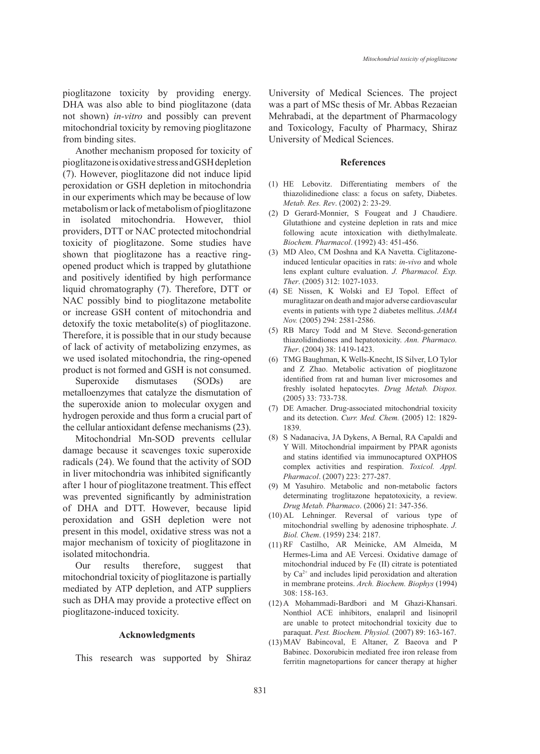pioglitazone toxicity by providing energy. DHA was also able to bind pioglitazone (data not shown) *in-vitro* and possibly can prevent mitochondrial toxicity by removing pioglitazone from binding sites.

Another mechanism proposed for toxicity of pioglitazone is oxidative stress and GSH depletion (7). However, pioglitazone did not induce lipid peroxidation or GSH depletion in mitochondria in our experiments which may be because of low metabolism or lack of metabolism of pioglitazone in isolated mitochondria. However, thiol providers, DTT or NAC protected mitochondrial toxicity of pioglitazone. Some studies have shown that pioglitazone has a reactive ringopened product which is trapped by glutathione and positively identified by high performance liquid chromatography (7). Therefore, DTT or NAC possibly bind to pioglitazone metabolite or increase GSH content of mitochondria and detoxify the toxic metabolite(s) of pioglitazone. Therefore, it is possible that in our study because of lack of activity of metabolizing enzymes, as we used isolated mitochondria, the ring-opened product is not formed and GSH is not consumed.

Superoxide dismutases (SODs) are metalloenzymes that catalyze the dismutation of the superoxide anion to molecular oxygen and hydrogen peroxide and thus form a crucial part of the cellular antioxidant defense mechanisms (23).

Mitochondrial Mn-SOD prevents cellular damage because it scavenges toxic superoxide radicals (24). We found that the activity of SOD in liver mitochondria was inhibited significantly after 1 hour of pioglitazone treatment. This effect was prevented significantly by administration of DHA and DTT. However, because lipid peroxidation and GSH depletion were not present in this model, oxidative stress was not a major mechanism of toxicity of pioglitazone in isolated mitochondria.

Our results therefore, suggest that mitochondrial toxicity of pioglitazone is partially mediated by ATP depletion, and ATP suppliers such as DHA may provide a protective effect on pioglitazone-induced toxicity.

#### **Acknowledgments**

This research was supported by Shiraz

University of Medical Sciences. The project was a part of MSc thesis of Mr. Abbas Rezaeian Mehrabadi, at the department of Pharmacology and Toxicology, Faculty of Pharmacy, Shiraz University of Medical Sciences.

# **References**

- HE Lebovitz. Differentiating members of the (1) thiazolidinedione class: a focus on safety, Diabetes. *Metab. Res. Rev*. (2002) 2: 23-29.
- D Gerard-Monnier, S Fougeat and J Chaudiere. (2) Glutathione and cysteine depletion in rats and mice following acute intoxication with diethylmaleate. *Biochem. Pharmacol*. (1992) 43: 451-456.
- MD Aleo, CM Doshna and KA Navetta. Ciglitazone-(3) induced lenticular opacities in rats: *in-vivo* and whole lens explant culture evaluation. *J. Pharmacol. Exp. Ther*. (2005) 312: 1027-1033.
- (4) SE Nissen, K Wolski and EJ Topol. Effect of muraglitazar on death and major adverse cardiovascular events in patients with type 2 diabetes mellitus. *JAMA Nov.* (2005) 294: 2581-2586.
- RB Marcy Todd and M Steve. Second-generation (5) thiazolidindiones and hepatotoxicity. *Ann. Pharmaco. Ther*. (2004) 38: 1419-1423.
- TMG Baughman, K Wells-Knecht, IS Silver, LO Tylor (6) and Z Zhao. Metabolic activation of pioglitazone identified from rat and human liver microsomes and freshly isolated hepatocytes. *Drug Metab. Dispos.* (2005) 33: 733-738.
- (7) DE Amacher. Drug-associated mitochondrial toxicity and its detection. *Curr. Med. Chem.* (2005) 12: 1829- 1839.
- (8) S Nadanaciva, JA Dykens, A Bernal, RA Capaldi and Y Will. Mitochondrial impairment by PPAR agonists and statins identified via immunocaptured OXPHOS complex activities and respiration. *Toxicol. Appl. Pharmacol*. (2007) 223: 277-287.
- M Yasuhiro. Metabolic and non-metabolic factors (9) determinating troglitazone hepatotoxicity, a review. *Drug Metab. Pharmaco*. (2006) 21: 347-356.
- $(10)$  AL Lehninger. Reversal of various type of mitochondrial swelling by adenosine triphosphate. *J. Biol. Chem*. (1959) 234: 2187.
- (11) RF Castilho, AR Meinicke, AM Almeida, M Hermes-Lima and AE Vercesi. Oxidative damage of mitochondrial induced by Fe (II) citrate is potentiated by  $Ca<sup>2+</sup>$  and includes lipid peroxidation and alteration in membrane proteins. *Arch. Biochem. Biophys* (1994) 308: 158-163.
- A Mohammadi-Bardbori and M Ghazi-Khansari. (12) Nonthiol ACE inhibitors, enalapril and lisinopril are unable to protect mitochondrial toxicity due to paraquat. *Pest. Biochem. Physiol.* (2007) 89: 163-167.
- MAV Babincoval, E Altaner, Z Baeova and P (13)Babinec. Doxorubicin mediated free iron release from ferritin magnetopartions for cancer therapy at higher